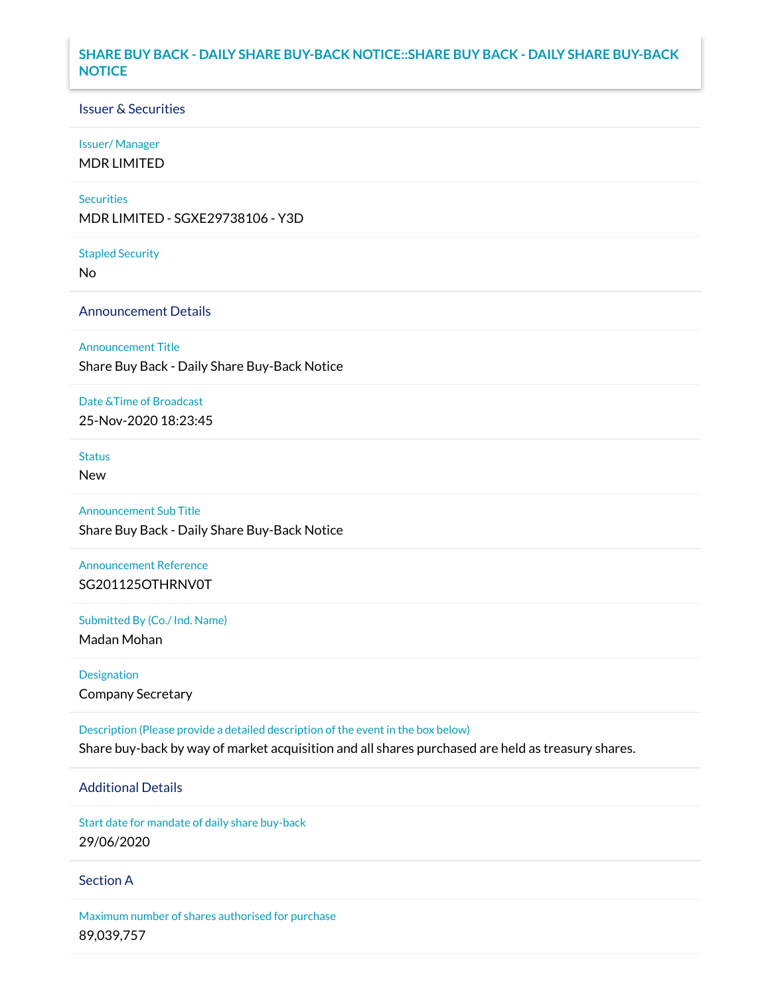## **SHARE BUY BACK - DAILY SHARE BUY-BACK NOTICE::SHARE BUY BACK - DAILY SHARE BUY-BACK NOTICE**

### Issuer & Securities

### Issuer/ Manager

MDR LIMITED

### **Securities**

MDR LIMITED - SGXE29738106 - Y3D

#### Stapled Security

No

### Announcement Details

Announcement Title

Share Buy Back - Daily Share Buy-Back Notice

### Date &Time of Broadcast

25-Nov-2020 18:23:45

## Status

New

# Announcement Sub Title

Share Buy Back - Daily Share Buy-Back Notice

## Announcement Reference SG201125OTHRNV0T

Submitted By (Co./ Ind. Name)

Madan Mohan

Designation Company Secretary

Description (Please provide a detailed description of the event in the box below) Share buy-back by way of market acquisition and all shares purchased are held as treasury shares.

## Additional Details

Start date for mandate of daily share buy-back 29/06/2020

### Section A

Maximum number of shares authorised for purchase 89,039,757